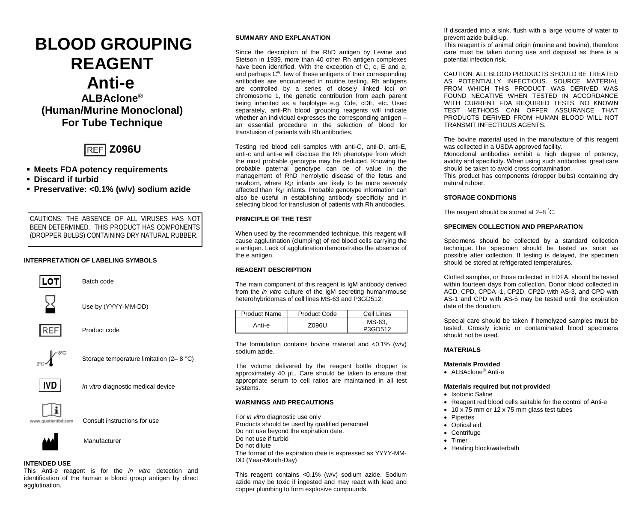# **BLOOD GROUPING REAGENT Anti-e ALBAclone®**

**(Human/Murine Monoclonal) For Tube Technique**



- **Meets FDA potency requirements**
- **Discard if turbid**
- **Preservative: <0.1% (w/v) sodium azide**

CAUTIONS: THE ABSENCE OF ALL VIRUSES HAS NOT BEEN DETERMINED. THIS PRODUCT HAS COMPONENTS (DROPPER BULBS) CONTAINING DRY NATURAL RUBBER.

# **INTERPRETATION OF LABELING SYMBOLS**



Batch code



Use by (YYYY-MM-DD)



Product code



Storage temperature limitation (2– 8 °C)



*In vitro* diagnostic medical device



Consult instructions for use



Manufacturer

# **INTENDED USE**

This Anti-e reagent is for the *in vitro* detection and identification of the human e blood group antigen by direct agglutination.

# **SUMMARY AND EXPLANATION**

Since the description of the RhD antigen by Levine and Stetson in 1939, more than 40 other Rh antigen complexes have been identified. With the exception of C, c, E and e, and perhaps C<sup>w</sup>, few of these antigens of their corresponding antibodies are encountered in routine testing. Rh antigens are controlled by a series of closely linked loci on chromosome 1, the genetic contribution from each parent being inherited as a haplotype e.g. Cde, cDE, etc. Used separately, anti-Rh blood grouping reagents will indicate whether an individual expresses the corresponding antigen an essential procedure in the selection of blood for transfusion of patients with Rh antibodies.

Testing red blood cell samples with anti-C, anti-D, anti-E, anti-c and anti-e will disclose the Rh phenotype from which the most probable genotype may be deduced. Knowing the probable paternal genotype can be of value in the management of RhD hemolytic disease of the fetus and newborn, where  $R_{2}r$  infants are likely to be more severely affected than R1r infants. Probable genotype information can also be useful in establishing antibody specificity and in selecting blood for transfusion of patients with Rh antibodies.

# **PRINCIPLE OF THE TEST**

When used by the recommended technique, this reagent will cause agglutination (clumping) of red blood cells carrying the e antigen. Lack of agglutination demonstrates the absence of the e antigen.

## **REAGENT DESCRIPTION**

The main component of this reagent is IgM antibody derived from the *in vitro* culture of the IgM secreting human/mouse heterohybridomas of cell lines MS-63 and P3GD512:

| Product Name | <b>Product Code</b> | Cell Lines |  |
|--------------|---------------------|------------|--|
| Anti-e       | Z096U               | MS-63.     |  |
|              |                     | P3GD512    |  |

The formulation contains bovine material and  $< 0.1\%$  (w/v) sodium azide.

The volume delivered by the reagent bottle dropper is approximately 40 µL. Care should be taken to ensure that appropriate serum to cell ratios are maintained in all test systems.

## **WARNINGS AND PRECAUTIONS**

For *in vitro* diagnostic use only Products should be used by qualified personnel Do not use beyond the expiration date. Do not use if turbid Do not dilute The format of the expiration date is expressed as YYYY-MM-DD (Year-Month-Day)

This reagent contains ˂0.1% (w/v) sodium azide. Sodium azide may be toxic if ingested and may react with lead and copper plumbing to form explosive compounds.

If discarded into a sink, flush with a large volume of water to prevent azide build-up.

This reagent is of animal origin (murine and bovine), therefore care must be taken during use and disposal as there is a potential infection risk.

CAUTION: ALL BLOOD PRODUCTS SHOULD BE TREATED AS POTENTIALLY INFECTIOUS. SOURCE MATERIAL FROM WHICH THIS PRODUCT WAS DERIVED WAS FOUND NEGATIVE WHEN TESTED IN ACCORDANCE WITH CURRENT FDA REQUIRED TESTS. NO KNOWN TEST METHODS CAN OFFER ASSURANCE THAT PRODUCTS DERIVED FROM HUMAN BLOOD WILL NOT TRANSMIT INFECTIOUS AGENTS.

The bovine material used in the manufacture of this reagent was collected in a USDA approved facility.

Monoclonal antibodies exhibit a high degree of potency, avidity and specificity. When using such antibodies, great care should be taken to avoid cross contamination*.*

This product has components (dropper bulbs) containing dry natural rubber.

# **STORAGE CONDITIONS**

The reagent should be stored at 2–8 ° C.

# **SPECIMEN COLLECTION AND PREPARATION**

Specimens should be collected by a standard collection technique. The specimen should be tested as soon as possible after collection. If testing is delayed, the specimen should be stored at refrigerated temperatures.

Clotted samples, or those collected in EDTA, should be tested within fourteen days from collection. Donor blood collected in ACD, CPD, CPDA -1, CP2D, CP2D with AS-3, and CPD with AS-1 and CPD with AS-5 may be tested until the expiration date of the donation.

Special care should be taken if hemolyzed samples must be tested. Grossly icteric or contaminated blood specimens should not be used.

# **MATERIALS**

# **Materials Provided**

• ALBAclone® Anti-e

## **Materials required but not provided**

- Isotonic Saline
- Reagent red blood cells suitable for the control of Anti-e
- 10 x 75 mm or 12 x 75 mm glass test tubes
- Pipettes
- Optical aid
- Centrifuge
- Timer
- Heating block/waterbath